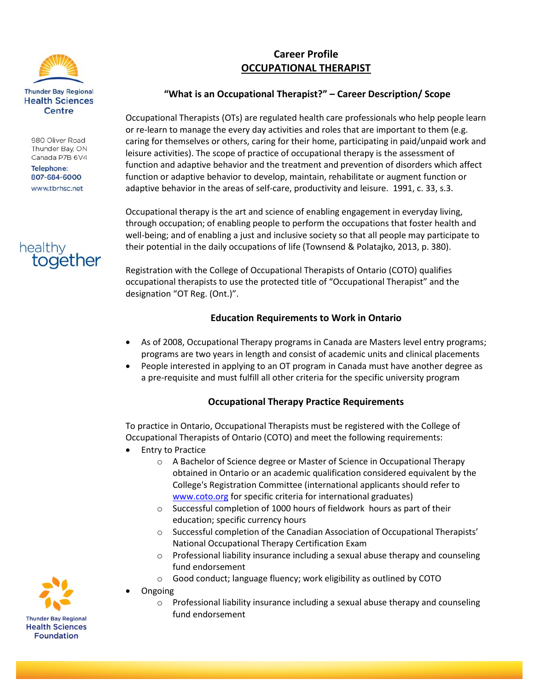

980 Oliver Road Thunder Bay, ON Canada P7B 6V4

**Telephone:** 807-684-6000 www.tbrhsc.net



# **Career Profile OCCUPATIONAL THERAPIST**

# **"What is an Occupational Therapist?" – Career Description/ Scope**

Occupational Therapists (OTs) are regulated health care professionals who help people learn or re-learn to manage the every day activities and roles that are important to them (e.g. caring for themselves or others, caring for their home, participating in paid/unpaid work and leisure activities). The scope of practice of occupational therapy is the assessment of function and adaptive behavior and the treatment and prevention of disorders which affect function or adaptive behavior to develop, maintain, rehabilitate or augment function or adaptive behavior in the areas of self-care, productivity and leisure. 1991, c. 33, s.3.

Occupational therapy is the art and science of enabling engagement in everyday living, through occupation; of enabling people to perform the occupations that foster health and well-being; and of enabling a just and inclusive society so that all people may participate to their potential in the daily occupations of life (Townsend & Polatajko, 2013, p. 380).

Registration with the College of Occupational Therapists of Ontario (COTO) qualifies occupational therapists to use the protected title of "Occupational Therapist" and the designation "OT Reg. (Ont.)".

# **Education Requirements to Work in Ontario**

- As of 2008, Occupational Therapy programs in Canada are Masters level entry programs; programs are two years in length and consist of academic units and clinical placements
- People interested in applying to an OT program in Canada must have another degree as a pre-requisite and must fulfill all other criteria for the specific university program

# **Occupational Therapy Practice Requirements**

To practice in Ontario, Occupational Therapists must be registered with the College of Occupational Therapists of Ontario (COTO) and meet the following requirements:

- **•** Entry to Practice
	- o A Bachelor of Science degree or Master of Science in Occupational Therapy obtained in Ontario or an academic qualification considered equivalent by the College's Registration Committee (international applicants should refer to [www.coto.org](http://www.coto.org/) for specific criteria for international graduates)
	- o Successful completion of 1000 hours of fieldwork hours as part of their education; specific currency hours
	- o Successful completion of the Canadian Association of Occupational Therapists' National Occupational Therapy Certification Exam
	- o Professional liability insurance including a sexual abuse therapy and counseling fund endorsement
	- o Good conduct; language fluency; work eligibility as outlined by COTO
- Ongoing
	- o Professional liability insurance including a sexual abuse therapy and counseling fund endorsement